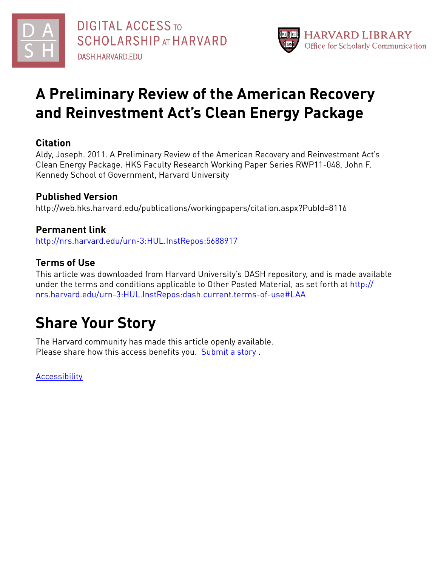



# **A Preliminary Review of the American Recovery and Reinvestment Act's Clean Energy Package**

### **Citation**

Aldy, Joseph. 2011. A Preliminary Review of the American Recovery and Reinvestment Act's Clean Energy Package. HKS Faculty Research Working Paper Series RWP11-048, John F. Kennedy School of Government, Harvard University

## **Published Version**

http://web.hks.harvard.edu/publications/workingpapers/citation.aspx?PubId=8116

## **Permanent link**

<http://nrs.harvard.edu/urn-3:HUL.InstRepos:5688917>

## **Terms of Use**

This article was downloaded from Harvard University's DASH repository, and is made available under the terms and conditions applicable to Other Posted Material, as set forth at [http://](http://nrs.harvard.edu/urn-3:HUL.InstRepos:dash.current.terms-of-use#LAA) [nrs.harvard.edu/urn-3:HUL.InstRepos:dash.current.terms-of-use#LAA](http://nrs.harvard.edu/urn-3:HUL.InstRepos:dash.current.terms-of-use#LAA)

# **Share Your Story**

The Harvard community has made this article openly available. Please share how this access benefits you. [Submit](http://osc.hul.harvard.edu/dash/open-access-feedback?handle=&title=A%20Preliminary%20Review%20of%20the%20American%20Recovery%20and%20Reinvestment%20Act%E2%80%99s%20Clean%20Energy%20Package&community=1/3345933&collection=1/3345934&owningCollection1/3345934&harvardAuthors=47152e2bc88c3bf71b9efed5c5cd6111&department) a story .

**[Accessibility](https://dash.harvard.edu/pages/accessibility)**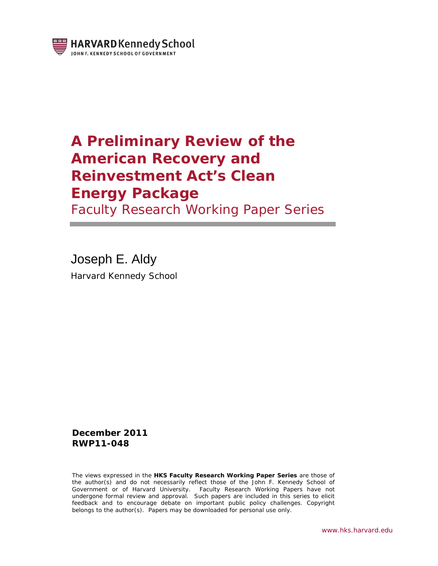

## **A Preliminary Review of the American Recovery and Reinvestment Act's Clean Energy Package**

Faculty Research Working Paper Series

Joseph E. Aldy Harvard Kennedy School

**December 2011 RWP11-048**

The views expressed in the **HKS Faculty Research Working Paper Series** are those of the author(s) and do not necessarily reflect those of the John F. Kennedy School of Government or of Harvard University. Faculty Research Working Papers have not undergone formal review and approval. Such papers are included in this series to elicit feedback and to encourage debate on important public policy challenges. Copyright belongs to the author(s). Papers may be downloaded for personal use only.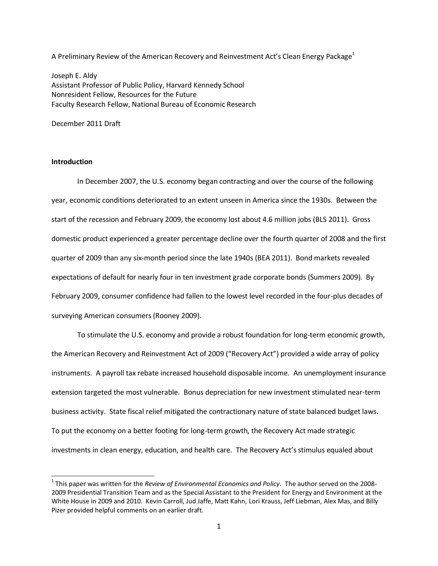A Preliminary Review of the American Recovery and Reinvestment Act's Clean Energy Package<sup>1</sup>

Joseph E. Aldy Assistant Professor of Public Policy, Harvard Kennedy School Nonresident Fellow, Resources for the Future Faculty Research Fellow, National Bureau of Economic Research

December 2011 Draft

#### **Introduction**

 $\overline{a}$ 

In December 2007, the U.S. economy began contracting and over the course of the following year, economic conditions deteriorated to an extent unseen in America since the 1930s. Between the start of the recession and February 2009, the economy lost about 4.6 million jobs (BLS 2011). Gross domestic product experienced a greater percentage decline over the fourth quarter of 2008 and the first quarter of 2009 than any six-month period since the late 1940s (BEA 2011). Bond markets revealed expectations of default for nearly four in ten investment grade corporate bonds (Summers 2009). By February 2009, consumer confidence had fallen to the lowest level recorded in the four-plus decades of surveying American consumers (Rooney 2009).

To stimulate the U.S. economy and provide a robust foundation for long-term economic growth, the American Recovery and Reinvestment Act of 2009 ("Recovery Act") provided a wide array of policy instruments. A payroll tax rebate increased household disposable income. An unemployment insurance extension targeted the most vulnerable. Bonus depreciation for new investment stimulated near-term business activity. State fiscal relief mitigated the contractionary nature of state balanced budget laws. To put the economy on a better footing for long-term growth, the Recovery Act made strategic investments in clean energy, education, and health care. The Recovery Act's stimulus equaled about

<sup>&</sup>lt;sup>1</sup> This paper was written for the *Review of Environmental Economics and Policy*. The author served on the 2008-2009 Presidential Transition Team and as the Special Assistant to the President for Energy and Environment at the White House in 2009 and 2010. Kevin Carroll, Jud Jaffe, Matt Kahn, Lori Krauss, Jeff Liebman, Alex Mas, and Billy Pizer provided helpful comments on an earlier draft.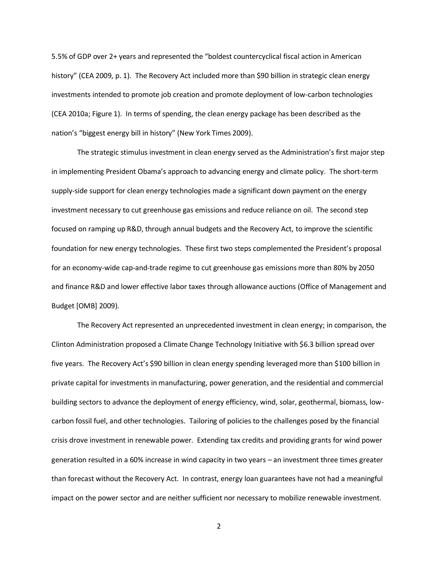5.5% of GDP over 2+ years and represented the "boldest countercyclical fiscal action in American history" (CEA 2009, p. 1). The Recovery Act included more than \$90 billion in strategic clean energy investments intended to promote job creation and promote deployment of low-carbon technologies (CEA 2010a; Figure 1). In terms of spending, the clean energy package has been described as the nation's "biggest energy bill in history" (New York Times 2009).

The strategic stimulus investment in clean energy served as the Administration's first major step in implementing President Obama's approach to advancing energy and climate policy. The short-term supply-side support for clean energy technologies made a significant down payment on the energy investment necessary to cut greenhouse gas emissions and reduce reliance on oil. The second step focused on ramping up R&D, through annual budgets and the Recovery Act, to improve the scientific foundation for new energy technologies. These first two steps complemented the President's proposal for an economy-wide cap-and-trade regime to cut greenhouse gas emissions more than 80% by 2050 and finance R&D and lower effective labor taxes through allowance auctions (Office of Management and Budget [OMB] 2009).

The Recovery Act represented an unprecedented investment in clean energy; in comparison, the Clinton Administration proposed a Climate Change Technology Initiative with \$6.3 billion spread over five years. The Recovery Act's \$90 billion in clean energy spending leveraged more than \$100 billion in private capital for investments in manufacturing, power generation, and the residential and commercial building sectors to advance the deployment of energy efficiency, wind, solar, geothermal, biomass, lowcarbon fossil fuel, and other technologies. Tailoring of policies to the challenges posed by the financial crisis drove investment in renewable power. Extending tax credits and providing grants for wind power generation resulted in a 60% increase in wind capacity in two years – an investment three times greater than forecast without the Recovery Act. In contrast, energy loan guarantees have not had a meaningful impact on the power sector and are neither sufficient nor necessary to mobilize renewable investment.

2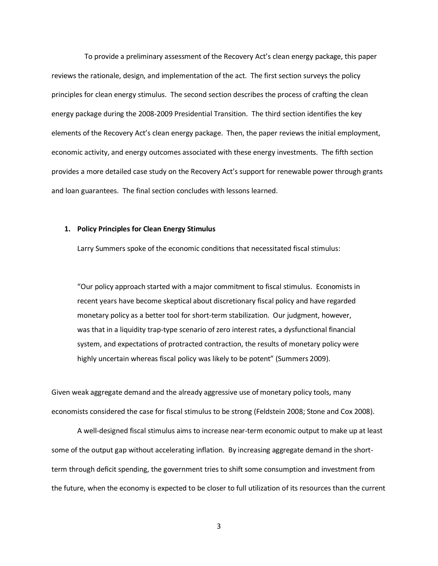To provide a preliminary assessment of the Recovery Act's clean energy package, this paper reviews the rationale, design, and implementation of the act. The first section surveys the policy principles for clean energy stimulus. The second section describes the process of crafting the clean energy package during the 2008-2009 Presidential Transition. The third section identifies the key elements of the Recovery Act's clean energy package. Then, the paper reviews the initial employment, economic activity, and energy outcomes associated with these energy investments. The fifth section provides a more detailed case study on the Recovery Act's support for renewable power through grants and loan guarantees. The final section concludes with lessons learned.

#### **1. Policy Principles for Clean Energy Stimulus**

Larry Summers spoke of the economic conditions that necessitated fiscal stimulus:

"Our policy approach started with a major commitment to fiscal stimulus. Economists in recent years have become skeptical about discretionary fiscal policy and have regarded monetary policy as a better tool for short-term stabilization. Our judgment, however, was that in a liquidity trap-type scenario of zero interest rates, a dysfunctional financial system, and expectations of protracted contraction, the results of monetary policy were highly uncertain whereas fiscal policy was likely to be potent" (Summers 2009).

Given weak aggregate demand and the already aggressive use of monetary policy tools, many economists considered the case for fiscal stimulus to be strong (Feldstein 2008; Stone and Cox 2008).

A well-designed fiscal stimulus aims to increase near-term economic output to make up at least some of the output gap without accelerating inflation. By increasing aggregate demand in the shortterm through deficit spending, the government tries to shift some consumption and investment from the future, when the economy is expected to be closer to full utilization of its resources than the current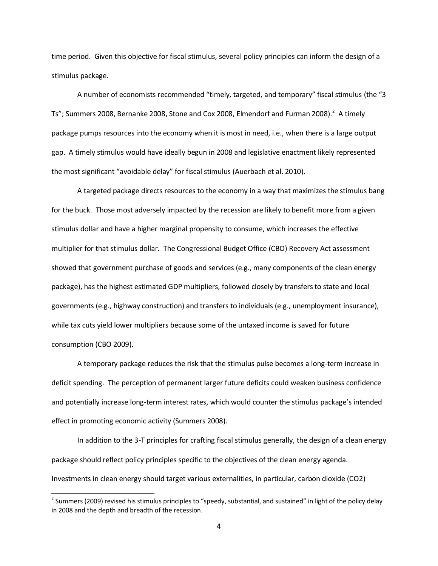time period. Given this objective for fiscal stimulus, several policy principles can inform the design of a stimulus package.

A number of economists recommended "timely, targeted, and temporary" fiscal stimulus (the "3 Ts"; Summers 2008, Bernanke 2008, Stone and Cox 2008, Elmendorf and Furman 2008).<sup>2</sup> A timely package pumps resources into the economy when it is most in need, i.e., when there is a large output gap. A timely stimulus would have ideally begun in 2008 and legislative enactment likely represented the most significant "avoidable delay" for fiscal stimulus (Auerbach et al. 2010).

A targeted package directs resources to the economy in a way that maximizes the stimulus bang for the buck. Those most adversely impacted by the recession are likely to benefit more from a given stimulus dollar and have a higher marginal propensity to consume, which increases the effective multiplier for that stimulus dollar. The Congressional Budget Office (CBO) Recovery Act assessment showed that government purchase of goods and services (e.g., many components of the clean energy package), has the highest estimated GDP multipliers, followed closely by transfers to state and local governments (e.g., highway construction) and transfers to individuals (e.g., unemployment insurance), while tax cuts yield lower multipliers because some of the untaxed income is saved for future consumption (CBO 2009).

A temporary package reduces the risk that the stimulus pulse becomes a long-term increase in deficit spending. The perception of permanent larger future deficits could weaken business confidence and potentially increase long-term interest rates, which would counter the stimulus package's intended effect in promoting economic activity (Summers 2008).

In addition to the 3-T principles for crafting fiscal stimulus generally, the design of a clean energy package should reflect policy principles specific to the objectives of the clean energy agenda. Investments in clean energy should target various externalities, in particular, carbon dioxide (CO2)

 $^2$  Summers (2009) revised his stimulus principles to "speedy, substantial, and sustained" in light of the policy delay in 2008 and the depth and breadth of the recession.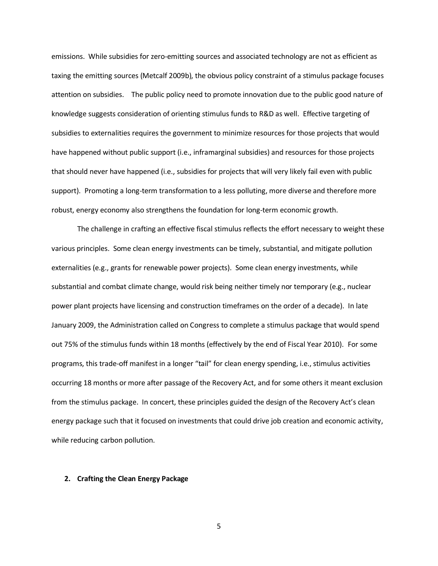emissions. While subsidies for zero-emitting sources and associated technology are not as efficient as taxing the emitting sources (Metcalf 2009b), the obvious policy constraint of a stimulus package focuses attention on subsidies. The public policy need to promote innovation due to the public good nature of knowledge suggests consideration of orienting stimulus funds to R&D as well. Effective targeting of subsidies to externalities requires the government to minimize resources for those projects that would have happened without public support (i.e., inframarginal subsidies) and resources for those projects that should never have happened (i.e., subsidies for projects that will very likely fail even with public support). Promoting a long-term transformation to a less polluting, more diverse and therefore more robust, energy economy also strengthens the foundation for long-term economic growth.

The challenge in crafting an effective fiscal stimulus reflects the effort necessary to weight these various principles. Some clean energy investments can be timely, substantial, and mitigate pollution externalities (e.g., grants for renewable power projects). Some clean energy investments, while substantial and combat climate change, would risk being neither timely nor temporary (e.g., nuclear power plant projects have licensing and construction timeframes on the order of a decade). In late January 2009, the Administration called on Congress to complete a stimulus package that would spend out 75% of the stimulus funds within 18 months (effectively by the end of Fiscal Year 2010). For some programs, this trade-off manifest in a longer "tail" for clean energy spending, i.e., stimulus activities occurring 18 months or more after passage of the Recovery Act, and for some others it meant exclusion from the stimulus package. In concert, these principles guided the design of the Recovery Act's clean energy package such that it focused on investments that could drive job creation and economic activity, while reducing carbon pollution.

#### **2. Crafting the Clean Energy Package**

5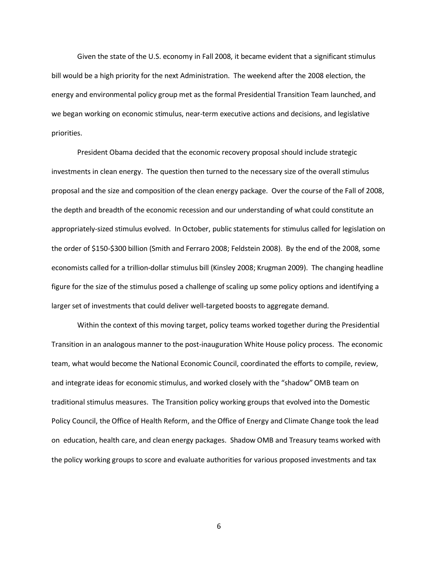Given the state of the U.S. economy in Fall 2008, it became evident that a significant stimulus bill would be a high priority for the next Administration. The weekend after the 2008 election, the energy and environmental policy group met as the formal Presidential Transition Team launched, and we began working on economic stimulus, near-term executive actions and decisions, and legislative priorities.

President Obama decided that the economic recovery proposal should include strategic investments in clean energy. The question then turned to the necessary size of the overall stimulus proposal and the size and composition of the clean energy package. Over the course of the Fall of 2008, the depth and breadth of the economic recession and our understanding of what could constitute an appropriately-sized stimulus evolved. In October, public statements for stimulus called for legislation on the order of \$150-\$300 billion (Smith and Ferraro 2008; Feldstein 2008). By the end of the 2008, some economists called for a trillion-dollar stimulus bill (Kinsley 2008; Krugman 2009). The changing headline figure for the size of the stimulus posed a challenge of scaling up some policy options and identifying a larger set of investments that could deliver well-targeted boosts to aggregate demand.

Within the context of this moving target, policy teams worked together during the Presidential Transition in an analogous manner to the post-inauguration White House policy process. The economic team, what would become the National Economic Council, coordinated the efforts to compile, review, and integrate ideas for economic stimulus, and worked closely with the "shadow" OMB team on traditional stimulus measures. The Transition policy working groups that evolved into the Domestic Policy Council, the Office of Health Reform, and the Office of Energy and Climate Change took the lead on education, health care, and clean energy packages. Shadow OMB and Treasury teams worked with the policy working groups to score and evaluate authorities for various proposed investments and tax

6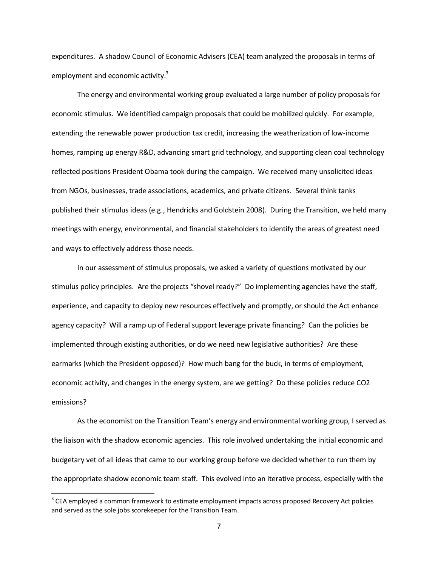expenditures. A shadow Council of Economic Advisers (CEA) team analyzed the proposals in terms of employment and economic activity.<sup>3</sup>

The energy and environmental working group evaluated a large number of policy proposals for economic stimulus. We identified campaign proposals that could be mobilized quickly. For example, extending the renewable power production tax credit, increasing the weatherization of low-income homes, ramping up energy R&D, advancing smart grid technology, and supporting clean coal technology reflected positions President Obama took during the campaign. We received many unsolicited ideas from NGOs, businesses, trade associations, academics, and private citizens. Several think tanks published their stimulus ideas (e.g., Hendricks and Goldstein 2008). During the Transition, we held many meetings with energy, environmental, and financial stakeholders to identify the areas of greatest need and ways to effectively address those needs.

In our assessment of stimulus proposals, we asked a variety of questions motivated by our stimulus policy principles. Are the projects "shovel ready?" Do implementing agencies have the staff, experience, and capacity to deploy new resources effectively and promptly, or should the Act enhance agency capacity? Will a ramp up of Federal support leverage private financing? Can the policies be implemented through existing authorities, or do we need new legislative authorities? Are these earmarks (which the President opposed)? How much bang for the buck, in terms of employment, economic activity, and changes in the energy system, are we getting? Do these policies reduce CO2 emissions?

As the economist on the Transition Team's energy and environmental working group, I served as the liaison with the shadow economic agencies. This role involved undertaking the initial economic and budgetary vet of all ideas that came to our working group before we decided whether to run them by the appropriate shadow economic team staff. This evolved into an iterative process, especially with the

 $^3$  CEA employed a common framework to estimate employment impacts across proposed Recovery Act policies and served as the sole jobs scorekeeper for the Transition Team.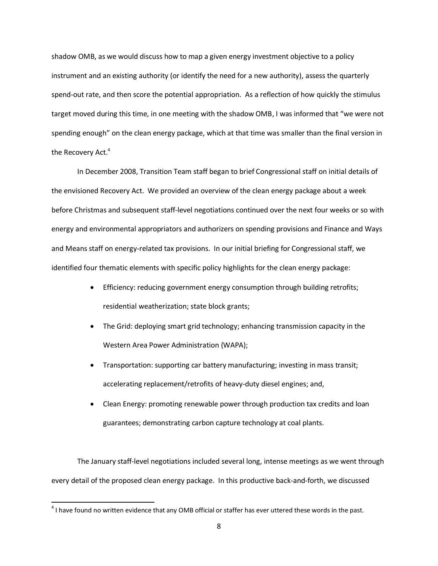shadow OMB, as we would discuss how to map a given energy investment objective to a policy instrument and an existing authority (or identify the need for a new authority), assess the quarterly spend-out rate, and then score the potential appropriation. As a reflection of how quickly the stimulus target moved during this time, in one meeting with the shadow OMB, I was informed that "we were not spending enough" on the clean energy package, which at that time was smaller than the final version in the Recovery Act. $^{\rm 4}$ 

In December 2008, Transition Team staff began to brief Congressional staff on initial details of the envisioned Recovery Act. We provided an overview of the clean energy package about a week before Christmas and subsequent staff-level negotiations continued over the next four weeks or so with energy and environmental appropriators and authorizers on spending provisions and Finance and Ways and Means staff on energy-related tax provisions. In our initial briefing for Congressional staff, we identified four thematic elements with specific policy highlights for the clean energy package:

- Efficiency: reducing government energy consumption through building retrofits; residential weatherization; state block grants;
- The Grid: deploying smart grid technology; enhancing transmission capacity in the Western Area Power Administration (WAPA);
- Transportation: supporting car battery manufacturing; investing in mass transit; accelerating replacement/retrofits of heavy-duty diesel engines; and,
- Clean Energy: promoting renewable power through production tax credits and loan guarantees; demonstrating carbon capture technology at coal plants.

The January staff-level negotiations included several long, intense meetings as we went through every detail of the proposed clean energy package. In this productive back-and-forth, we discussed

 $^4$  I have found no written evidence that any OMB official or staffer has ever uttered these words in the past.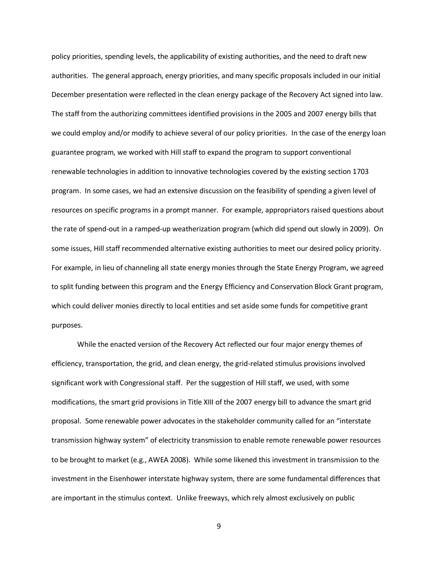policy priorities, spending levels, the applicability of existing authorities, and the need to draft new authorities. The general approach, energy priorities, and many specific proposals included in our initial December presentation were reflected in the clean energy package of the Recovery Act signed into law. The staff from the authorizing committees identified provisions in the 2005 and 2007 energy bills that we could employ and/or modify to achieve several of our policy priorities. In the case of the energy loan guarantee program, we worked with Hill staff to expand the program to support conventional renewable technologies in addition to innovative technologies covered by the existing section 1703 program. In some cases, we had an extensive discussion on the feasibility of spending a given level of resources on specific programs in a prompt manner. For example, appropriators raised questions about the rate of spend-out in a ramped-up weatherization program (which did spend out slowly in 2009). On some issues, Hill staff recommended alternative existing authorities to meet our desired policy priority. For example, in lieu of channeling all state energy monies through the State Energy Program, we agreed to split funding between this program and the Energy Efficiency and Conservation Block Grant program, which could deliver monies directly to local entities and set aside some funds for competitive grant purposes.

While the enacted version of the Recovery Act reflected our four major energy themes of efficiency, transportation, the grid, and clean energy, the grid-related stimulus provisions involved significant work with Congressional staff. Per the suggestion of Hill staff, we used, with some modifications, the smart grid provisions in Title XIII of the 2007 energy bill to advance the smart grid proposal. Some renewable power advocates in the stakeholder community called for an "interstate transmission highway system" of electricity transmission to enable remote renewable power resources to be brought to market (e.g., AWEA 2008). While some likened this investment in transmission to the investment in the Eisenhower interstate highway system, there are some fundamental differences that are important in the stimulus context. Unlike freeways, which rely almost exclusively on public

9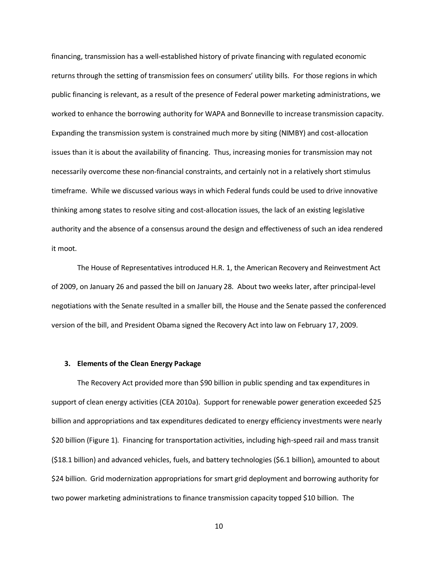financing, transmission has a well-established history of private financing with regulated economic returns through the setting of transmission fees on consumers' utility bills. For those regions in which public financing is relevant, as a result of the presence of Federal power marketing administrations, we worked to enhance the borrowing authority for WAPA and Bonneville to increase transmission capacity. Expanding the transmission system is constrained much more by siting (NIMBY) and cost-allocation issues than it is about the availability of financing. Thus, increasing monies for transmission may not necessarily overcome these non-financial constraints, and certainly not in a relatively short stimulus timeframe. While we discussed various ways in which Federal funds could be used to drive innovative thinking among states to resolve siting and cost-allocation issues, the lack of an existing legislative authority and the absence of a consensus around the design and effectiveness of such an idea rendered it moot.

The House of Representatives introduced H.R. 1, the American Recovery and Reinvestment Act of 2009, on January 26 and passed the bill on January 28. About two weeks later, after principal-level negotiations with the Senate resulted in a smaller bill, the House and the Senate passed the conferenced version of the bill, and President Obama signed the Recovery Act into law on February 17, 2009.

#### **3. Elements of the Clean Energy Package**

The Recovery Act provided more than \$90 billion in public spending and tax expenditures in support of clean energy activities (CEA 2010a). Support for renewable power generation exceeded \$25 billion and appropriations and tax expenditures dedicated to energy efficiency investments were nearly \$20 billion (Figure 1). Financing for transportation activities, including high-speed rail and mass transit (\$18.1 billion) and advanced vehicles, fuels, and battery technologies (\$6.1 billion), amounted to about \$24 billion. Grid modernization appropriations for smart grid deployment and borrowing authority for two power marketing administrations to finance transmission capacity topped \$10 billion. The

10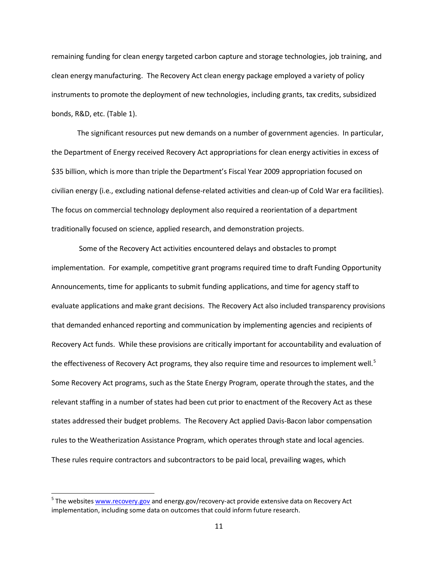remaining funding for clean energy targeted carbon capture and storage technologies, job training, and clean energy manufacturing. The Recovery Act clean energy package employed a variety of policy instruments to promote the deployment of new technologies, including grants, tax credits, subsidized bonds, R&D, etc. (Table 1).

The significant resources put new demands on a number of government agencies. In particular, the Department of Energy received Recovery Act appropriations for clean energy activities in excess of \$35 billion, which is more than triple the Department's Fiscal Year 2009 appropriation focused on civilian energy (i.e., excluding national defense-related activities and clean-up of Cold War era facilities). The focus on commercial technology deployment also required a reorientation of a department traditionally focused on science, applied research, and demonstration projects.

Some of the Recovery Act activities encountered delays and obstacles to prompt implementation. For example, competitive grant programs required time to draft Funding Opportunity Announcements, time for applicants to submit funding applications, and time for agency staff to evaluate applications and make grant decisions. The Recovery Act also included transparency provisions that demanded enhanced reporting and communication by implementing agencies and recipients of Recovery Act funds. While these provisions are critically important for accountability and evaluation of the effectiveness of Recovery Act programs, they also require time and resources to implement well.<sup>5</sup> Some Recovery Act programs, such as the State Energy Program, operate through the states, and the relevant staffing in a number of states had been cut prior to enactment of the Recovery Act as these states addressed their budget problems. The Recovery Act applied Davis-Bacon labor compensation rules to the Weatherization Assistance Program, which operates through state and local agencies. These rules require contractors and subcontractors to be paid local, prevailing wages, which

<sup>&</sup>lt;sup>5</sup> The websites <u>[www.recovery.gov](http://www.recovery.gov/)</u> and energy.gov/recovery-act provide extensive data on Recovery Act implementation, including some data on outcomes that could inform future research.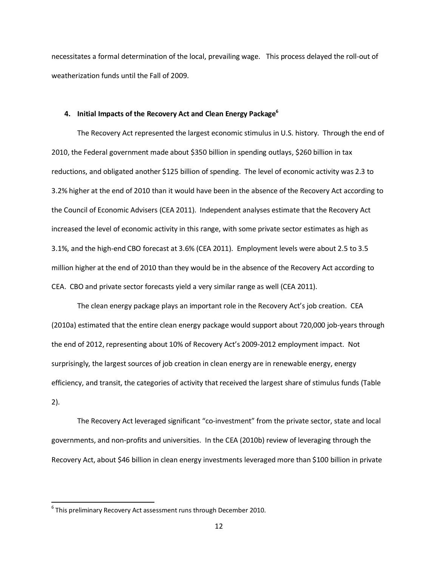necessitates a formal determination of the local, prevailing wage. This process delayed the roll-out of weatherization funds until the Fall of 2009.

#### **4. Initial Impacts of the Recovery Act and Clean Energy Package<sup>6</sup>**

The Recovery Act represented the largest economic stimulus in U.S. history. Through the end of 2010, the Federal government made about \$350 billion in spending outlays, \$260 billion in tax reductions, and obligated another \$125 billion of spending. The level of economic activity was 2.3 to 3.2% higher at the end of 2010 than it would have been in the absence of the Recovery Act according to the Council of Economic Advisers (CEA 2011). Independent analyses estimate that the Recovery Act increased the level of economic activity in this range, with some private sector estimates as high as 3.1%, and the high-end CBO forecast at 3.6% (CEA 2011). Employment levels were about 2.5 to 3.5 million higher at the end of 2010 than they would be in the absence of the Recovery Act according to CEA. CBO and private sector forecasts yield a very similar range as well (CEA 2011).

The clean energy package plays an important role in the Recovery Act's job creation. CEA (2010a) estimated that the entire clean energy package would support about 720,000 job-years through the end of 2012, representing about 10% of Recovery Act's 2009-2012 employment impact. Not surprisingly, the largest sources of job creation in clean energy are in renewable energy, energy efficiency, and transit, the categories of activity that received the largest share of stimulus funds (Table 2).

The Recovery Act leveraged significant "co-investment" from the private sector, state and local governments, and non-profits and universities. In the CEA (2010b) review of leveraging through the Recovery Act, about \$46 billion in clean energy investments leveraged more than \$100 billion in private

 $^6$  This preliminary Recovery Act assessment runs through December 2010.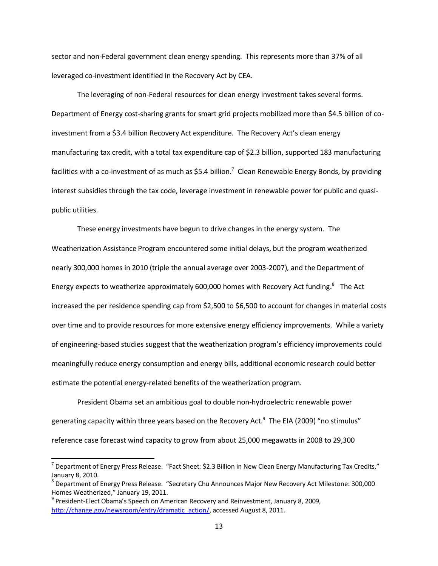sector and non-Federal government clean energy spending. This represents more than 37% of all leveraged co-investment identified in the Recovery Act by CEA.

The leveraging of non-Federal resources for clean energy investment takes several forms. Department of Energy cost-sharing grants for smart grid projects mobilized more than \$4.5 billion of coinvestment from a \$3.4 billion Recovery Act expenditure. The Recovery Act's clean energy manufacturing tax credit, with a total tax expenditure cap of \$2.3 billion, supported 183 manufacturing facilities with a co-investment of as much as \$5.4 billion.<sup>7</sup> Clean Renewable Energy Bonds, by providing interest subsidies through the tax code, leverage investment in renewable power for public and quasipublic utilities.

These energy investments have begun to drive changes in the energy system. The Weatherization Assistance Program encountered some initial delays, but the program weatherized nearly 300,000 homes in 2010 (triple the annual average over 2003-2007), and the Department of Energy expects to weatherize approximately 600,000 homes with Recovery Act funding.<sup>8</sup> The Act increased the per residence spending cap from \$2,500 to \$6,500 to account for changes in material costs over time and to provide resources for more extensive energy efficiency improvements. While a variety of engineering-based studies suggest that the weatherization program's efficiency improvements could meaningfully reduce energy consumption and energy bills, additional economic research could better estimate the potential energy-related benefits of the weatherization program.

President Obama set an ambitious goal to double non-hydroelectric renewable power generating capacity within three years based on the Recovery Act. $^9$  The EIA (2009) "no stimulus" reference case forecast wind capacity to grow from about 25,000 megawatts in 2008 to 29,300

l

<sup>&</sup>lt;sup>7</sup> Department of Energy Press Release. "Fact Sheet: \$2.3 Billion in New Clean Energy Manufacturing Tax Credits," January 8, 2010.

<sup>&</sup>lt;sup>8</sup> Department of Energy Press Release. "Secretary Chu Announces Major New Recovery Act Milestone: 300,000 Homes Weatherized," January 19, 2011.

<sup>&</sup>lt;sup>9</sup> President-Elect Obama's Speech on American Recovery and Reinvestment, January 8, 2009, [http://change.gov/newsroom/entry/dramatic\\_action/,](http://change.gov/newsroom/entry/dramatic_action/) accessed August 8, 2011.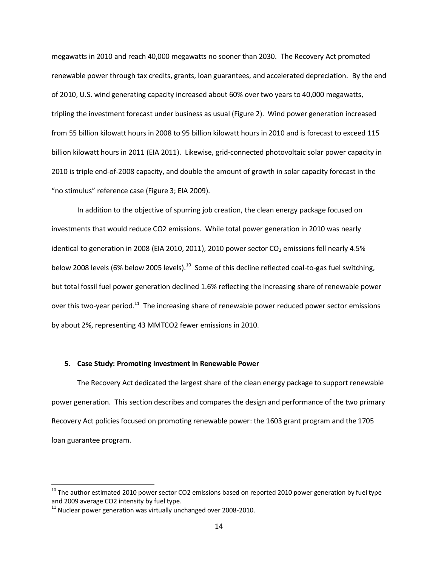megawatts in 2010 and reach 40,000 megawatts no sooner than 2030. The Recovery Act promoted renewable power through tax credits, grants, loan guarantees, and accelerated depreciation. By the end of 2010, U.S. wind generating capacity increased about 60% over two years to 40,000 megawatts, tripling the investment forecast under business as usual (Figure 2). Wind power generation increased from 55 billion kilowatt hours in 2008 to 95 billion kilowatt hours in 2010 and is forecast to exceed 115 billion kilowatt hours in 2011 (EIA 2011). Likewise, grid-connected photovoltaic solar power capacity in 2010 is triple end-of-2008 capacity, and double the amount of growth in solar capacity forecast in the "no stimulus" reference case (Figure 3; EIA 2009).

In addition to the objective of spurring job creation, the clean energy package focused on investments that would reduce CO2 emissions. While total power generation in 2010 was nearly identical to generation in 2008 (EIA 2010, 2011), 2010 power sector  $CO<sub>2</sub>$  emissions fell nearly 4.5% below 2008 levels (6% below 2005 levels).<sup>10</sup> Some of this decline reflected coal-to-gas fuel switching, but total fossil fuel power generation declined 1.6% reflecting the increasing share of renewable power over this two-year period.<sup>11</sup> The increasing share of renewable power reduced power sector emissions by about 2%, representing 43 MMTCO2 fewer emissions in 2010.

#### **5. Case Study: Promoting Investment in Renewable Power**

The Recovery Act dedicated the largest share of the clean energy package to support renewable power generation. This section describes and compares the design and performance of the two primary Recovery Act policies focused on promoting renewable power: the 1603 grant program and the 1705 loan guarantee program.

l

 $^{10}$  The author estimated 2010 power sector CO2 emissions based on reported 2010 power generation by fuel type and 2009 average CO2 intensity by fuel type.

<sup>&</sup>lt;sup>11</sup> Nuclear power generation was virtually unchanged over 2008-2010.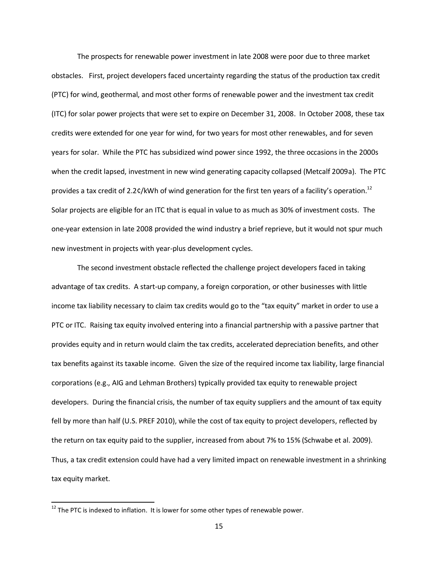The prospects for renewable power investment in late 2008 were poor due to three market obstacles. First, project developers faced uncertainty regarding the status of the production tax credit (PTC) for wind, geothermal, and most other forms of renewable power and the investment tax credit (ITC) for solar power projects that were set to expire on December 31, 2008. In October 2008, these tax credits were extended for one year for wind, for two years for most other renewables, and for seven years for solar. While the PTC has subsidized wind power since 1992, the three occasions in the 2000s when the credit lapsed, investment in new wind generating capacity collapsed (Metcalf 2009a). The PTC provides a tax credit of 2.2¢/kWh of wind generation for the first ten years of a facility's operation.<sup>12</sup> Solar projects are eligible for an ITC that is equal in value to as much as 30% of investment costs. The one-year extension in late 2008 provided the wind industry a brief reprieve, but it would not spur much new investment in projects with year-plus development cycles.

The second investment obstacle reflected the challenge project developers faced in taking advantage of tax credits. A start-up company, a foreign corporation, or other businesses with little income tax liability necessary to claim tax credits would go to the "tax equity" market in order to use a PTC or ITC. Raising tax equity involved entering into a financial partnership with a passive partner that provides equity and in return would claim the tax credits, accelerated depreciation benefits, and other tax benefits against its taxable income. Given the size of the required income tax liability, large financial corporations (e.g., AIG and Lehman Brothers) typically provided tax equity to renewable project developers. During the financial crisis, the number of tax equity suppliers and the amount of tax equity fell by more than half (U.S. PREF 2010), while the cost of tax equity to project developers, reflected by the return on tax equity paid to the supplier, increased from about 7% to 15% (Schwabe et al. 2009). Thus, a tax credit extension could have had a very limited impact on renewable investment in a shrinking tax equity market.

 $12$  The PTC is indexed to inflation. It is lower for some other types of renewable power.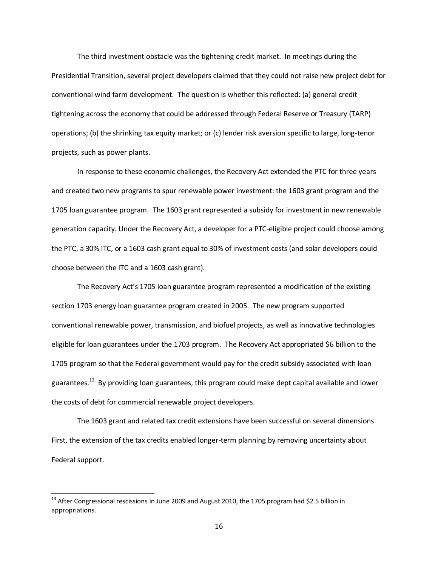The third investment obstacle was the tightening credit market. In meetings during the Presidential Transition, several project developers claimed that they could not raise new project debt for conventional wind farm development. The question is whether this reflected: (a) general credit tightening across the economy that could be addressed through Federal Reserve or Treasury (TARP) operations; (b) the shrinking tax equity market; or (c) lender risk aversion specific to large, long-tenor projects, such as power plants.

In response to these economic challenges, the Recovery Act extended the PTC for three years and created two new programs to spur renewable power investment: the 1603 grant program and the 1705 loan guarantee program. The 1603 grant represented a subsidy for investment in new renewable generation capacity. Under the Recovery Act, a developer for a PTC-eligible project could choose among the PTC, a 30% ITC, or a 1603 cash grant equal to 30% of investment costs (and solar developers could choose between the ITC and a 1603 cash grant).

The Recovery Act's 1705 loan guarantee program represented a modification of the existing section 1703 energy loan guarantee program created in 2005. The new program supported conventional renewable power, transmission, and biofuel projects, as well as innovative technologies eligible for loan guarantees under the 1703 program. The Recovery Act appropriated \$6 billion to the 1705 program so that the Federal government would pay for the credit subsidy associated with loan guarantees.<sup>13</sup> By providing loan guarantees, this program could make dept capital available and lower the costs of debt for commercial renewable project developers.

The 1603 grant and related tax credit extensions have been successful on several dimensions. First, the extension of the tax credits enabled longer-term planning by removing uncertainty about Federal support.

 $^{13}$  After Congressional rescissions in June 2009 and August 2010, the 1705 program had \$2.5 billion in appropriations.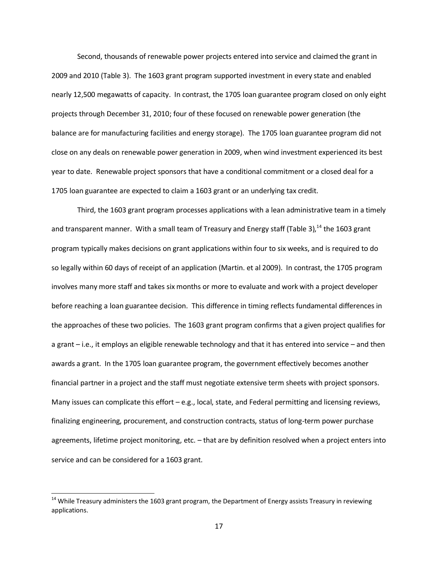Second, thousands of renewable power projects entered into service and claimed the grant in 2009 and 2010 (Table 3). The 1603 grant program supported investment in every state and enabled nearly 12,500 megawatts of capacity. In contrast, the 1705 loan guarantee program closed on only eight projects through December 31, 2010; four of these focused on renewable power generation (the balance are for manufacturing facilities and energy storage). The 1705 loan guarantee program did not close on any deals on renewable power generation in 2009, when wind investment experienced its best year to date. Renewable project sponsors that have a conditional commitment or a closed deal for a 1705 loan guarantee are expected to claim a 1603 grant or an underlying tax credit.

Third, the 1603 grant program processes applications with a lean administrative team in a timely and transparent manner. With a small team of Treasury and Energy staff (Table 3), $^{14}$  the 1603 grant program typically makes decisions on grant applications within four to six weeks, and is required to do so legally within 60 days of receipt of an application (Martin. et al 2009). In contrast, the 1705 program involves many more staff and takes six months or more to evaluate and work with a project developer before reaching a loan guarantee decision. This difference in timing reflects fundamental differences in the approaches of these two policies. The 1603 grant program confirms that a given project qualifies for a grant – i.e., it employs an eligible renewable technology and that it has entered into service – and then awards a grant. In the 1705 loan guarantee program, the government effectively becomes another financial partner in a project and the staff must negotiate extensive term sheets with project sponsors. Many issues can complicate this effort – e.g., local, state, and Federal permitting and licensing reviews, finalizing engineering, procurement, and construction contracts, status of long-term power purchase agreements, lifetime project monitoring, etc. – that are by definition resolved when a project enters into service and can be considered for a 1603 grant.

 $^{14}$  While Treasury administers the 1603 grant program, the Department of Energy assists Treasury in reviewing applications.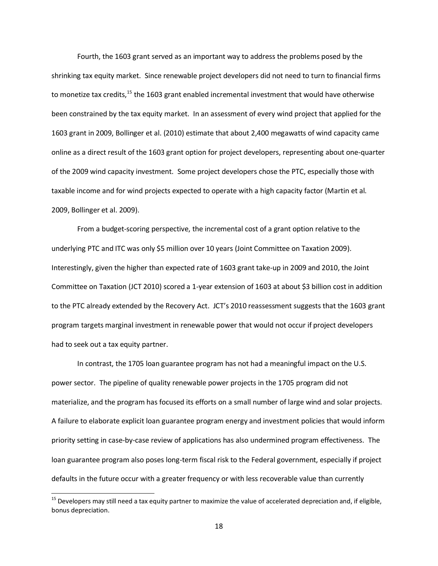Fourth, the 1603 grant served as an important way to address the problems posed by the shrinking tax equity market. Since renewable project developers did not need to turn to financial firms to monetize tax credits, $^{15}$  the 1603 grant enabled incremental investment that would have otherwise been constrained by the tax equity market. In an assessment of every wind project that applied for the 1603 grant in 2009, Bollinger et al. (2010) estimate that about 2,400 megawatts of wind capacity came online as a direct result of the 1603 grant option for project developers, representing about one-quarter of the 2009 wind capacity investment. Some project developers chose the PTC, especially those with taxable income and for wind projects expected to operate with a high capacity factor (Martin et al. 2009, Bollinger et al. 2009).

From a budget-scoring perspective, the incremental cost of a grant option relative to the underlying PTC and ITC was only \$5 million over 10 years (Joint Committee on Taxation 2009). Interestingly, given the higher than expected rate of 1603 grant take-up in 2009 and 2010, the Joint Committee on Taxation (JCT 2010) scored a 1-year extension of 1603 at about \$3 billion cost in addition to the PTC already extended by the Recovery Act. JCT's 2010 reassessment suggests that the 1603 grant program targets marginal investment in renewable power that would not occur if project developers had to seek out a tax equity partner.

In contrast, the 1705 loan guarantee program has not had a meaningful impact on the U.S. power sector. The pipeline of quality renewable power projects in the 1705 program did not materialize, and the program has focused its efforts on a small number of large wind and solar projects. A failure to elaborate explicit loan guarantee program energy and investment policies that would inform priority setting in case-by-case review of applications has also undermined program effectiveness. The loan guarantee program also poses long-term fiscal risk to the Federal government, especially if project defaults in the future occur with a greater frequency or with less recoverable value than currently

 $^{15}$  Developers may still need a tax equity partner to maximize the value of accelerated depreciation and, if eligible, bonus depreciation.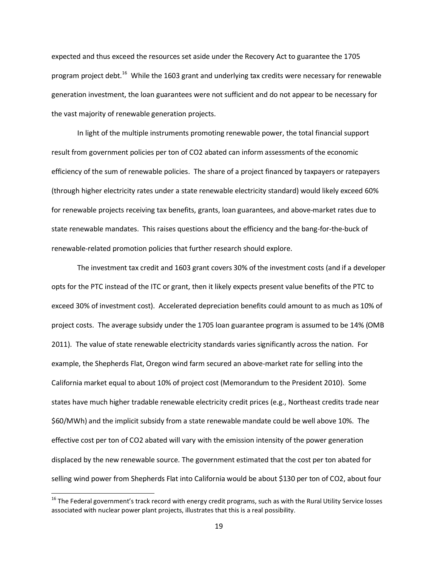expected and thus exceed the resources set aside under the Recovery Act to guarantee the 1705 program project debt.<sup>16</sup> While the 1603 grant and underlying tax credits were necessary for renewable generation investment, the loan guarantees were not sufficient and do not appear to be necessary for the vast majority of renewable generation projects.

In light of the multiple instruments promoting renewable power, the total financial support result from government policies per ton of CO2 abated can inform assessments of the economic efficiency of the sum of renewable policies. The share of a project financed by taxpayers or ratepayers (through higher electricity rates under a state renewable electricity standard) would likely exceed 60% for renewable projects receiving tax benefits, grants, loan guarantees, and above-market rates due to state renewable mandates. This raises questions about the efficiency and the bang-for-the-buck of renewable-related promotion policies that further research should explore.

The investment tax credit and 1603 grant covers 30% of the investment costs (and if a developer opts for the PTC instead of the ITC or grant, then it likely expects present value benefits of the PTC to exceed 30% of investment cost). Accelerated depreciation benefits could amount to as much as 10% of project costs. The average subsidy under the 1705 loan guarantee program is assumed to be 14% (OMB 2011). The value of state renewable electricity standards varies significantly across the nation. For example, the Shepherds Flat, Oregon wind farm secured an above-market rate for selling into the California market equal to about 10% of project cost (Memorandum to the President 2010). Some states have much higher tradable renewable electricity credit prices (e.g., Northeast credits trade near \$60/MWh) and the implicit subsidy from a state renewable mandate could be well above 10%. The effective cost per ton of CO2 abated will vary with the emission intensity of the power generation displaced by the new renewable source. The government estimated that the cost per ton abated for selling wind power from Shepherds Flat into California would be about \$130 per ton of CO2, about four

 $^{16}$  The Federal government's track record with energy credit programs, such as with the Rural Utility Service losses associated with nuclear power plant projects, illustrates that this is a real possibility.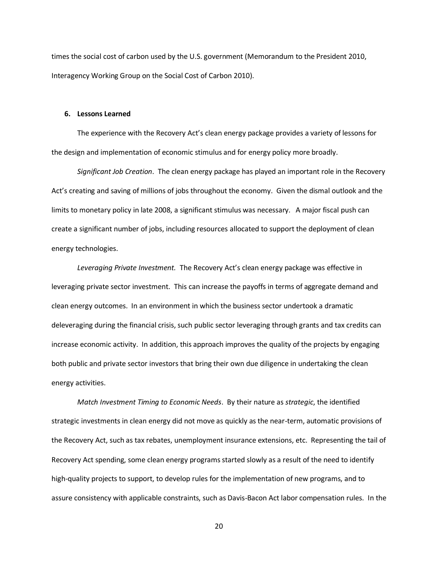times the social cost of carbon used by the U.S. government (Memorandum to the President 2010, Interagency Working Group on the Social Cost of Carbon 2010).

#### **6. Lessons Learned**

The experience with the Recovery Act's clean energy package provides a variety of lessons for the design and implementation of economic stimulus and for energy policy more broadly.

*Significant Job Creation*. The clean energy package has played an important role in the Recovery Act's creating and saving of millions of jobs throughout the economy. Given the dismal outlook and the limits to monetary policy in late 2008, a significant stimulus was necessary. A major fiscal push can create a significant number of jobs, including resources allocated to support the deployment of clean energy technologies.

*Leveraging Private Investment.* The Recovery Act's clean energy package was effective in leveraging private sector investment. This can increase the payoffs in terms of aggregate demand and clean energy outcomes. In an environment in which the business sector undertook a dramatic deleveraging during the financial crisis, such public sector leveraging through grants and tax credits can increase economic activity. In addition, this approach improves the quality of the projects by engaging both public and private sector investors that bring their own due diligence in undertaking the clean energy activities.

*Match Investment Timing to Economic Needs*. By their nature as *strategic*, the identified strategic investments in clean energy did not move as quickly as the near-term, automatic provisions of the Recovery Act, such as tax rebates, unemployment insurance extensions, etc. Representing the tail of Recovery Act spending, some clean energy programs started slowly as a result of the need to identify high-quality projects to support, to develop rules for the implementation of new programs, and to assure consistency with applicable constraints, such as Davis-Bacon Act labor compensation rules. In the

20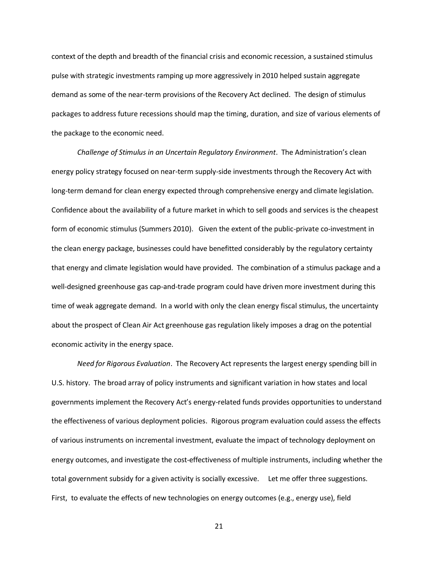context of the depth and breadth of the financial crisis and economic recession, a sustained stimulus pulse with strategic investments ramping up more aggressively in 2010 helped sustain aggregate demand as some of the near-term provisions of the Recovery Act declined. The design of stimulus packages to address future recessions should map the timing, duration, and size of various elements of the package to the economic need.

*Challenge of Stimulus in an Uncertain Regulatory Environment*. The Administration's clean energy policy strategy focused on near-term supply-side investments through the Recovery Act with long-term demand for clean energy expected through comprehensive energy and climate legislation. Confidence about the availability of a future market in which to sell goods and services is the cheapest form of economic stimulus (Summers 2010). Given the extent of the public-private co-investment in the clean energy package, businesses could have benefitted considerably by the regulatory certainty that energy and climate legislation would have provided. The combination of a stimulus package and a well-designed greenhouse gas cap-and-trade program could have driven more investment during this time of weak aggregate demand. In a world with only the clean energy fiscal stimulus, the uncertainty about the prospect of Clean Air Act greenhouse gas regulation likely imposes a drag on the potential economic activity in the energy space.

*Need for Rigorous Evaluation*. The Recovery Act represents the largest energy spending bill in U.S. history. The broad array of policy instruments and significant variation in how states and local governments implement the Recovery Act's energy-related funds provides opportunities to understand the effectiveness of various deployment policies. Rigorous program evaluation could assess the effects of various instruments on incremental investment, evaluate the impact of technology deployment on energy outcomes, and investigate the cost-effectiveness of multiple instruments, including whether the total government subsidy for a given activity is socially excessive. Let me offer three suggestions. First, to evaluate the effects of new technologies on energy outcomes (e.g., energy use), field

21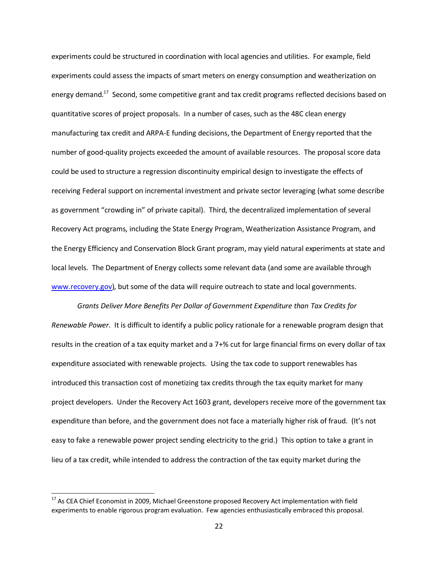experiments could be structured in coordination with local agencies and utilities. For example, field experiments could assess the impacts of smart meters on energy consumption and weatherization on energy demand.<sup>17</sup> Second, some competitive grant and tax credit programs reflected decisions based on quantitative scores of project proposals. In a number of cases, such as the 48C clean energy manufacturing tax credit and ARPA-E funding decisions, the Department of Energy reported that the number of good-quality projects exceeded the amount of available resources. The proposal score data could be used to structure a regression discontinuity empirical design to investigate the effects of receiving Federal support on incremental investment and private sector leveraging (what some describe as government "crowding in" of private capital). Third, the decentralized implementation of several Recovery Act programs, including the State Energy Program, Weatherization Assistance Program, and the Energy Efficiency and Conservation Block Grant program, may yield natural experiments at state and local levels. The Department of Energy collects some relevant data (and some are available through [www.recovery.gov\)](http://www.recovery.gov/), but some of the data will require outreach to state and local governments.

*Grants Deliver More Benefits Per Dollar of Government Expenditure than Tax Credits for Renewable Power*. It is difficult to identify a public policy rationale for a renewable program design that results in the creation of a tax equity market and a 7+% cut for large financial firms on every dollar of tax expenditure associated with renewable projects. Using the tax code to support renewables has introduced this transaction cost of monetizing tax credits through the tax equity market for many project developers. Under the Recovery Act 1603 grant, developers receive more of the government tax expenditure than before, and the government does not face a materially higher risk of fraud. (It's not easy to fake a renewable power project sending electricity to the grid.) This option to take a grant in lieu of a tax credit, while intended to address the contraction of the tax equity market during the

 $^{17}$  As CEA Chief Economist in 2009, Michael Greenstone proposed Recovery Act implementation with field experiments to enable rigorous program evaluation. Few agencies enthusiastically embraced this proposal.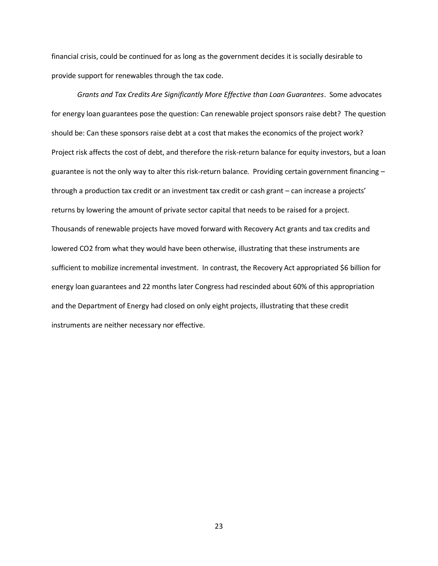financial crisis, could be continued for as long as the government decides it is socially desirable to provide support for renewables through the tax code.

*Grants and Tax Credits Are Significantly More Effective than Loan Guarantees*. Some advocates for energy loan guarantees pose the question: Can renewable project sponsors raise debt? The question should be: Can these sponsors raise debt at a cost that makes the economics of the project work? Project risk affects the cost of debt, and therefore the risk-return balance for equity investors, but a loan guarantee is not the only way to alter this risk-return balance. Providing certain government financing – through a production tax credit or an investment tax credit or cash grant – can increase a projects' returns by lowering the amount of private sector capital that needs to be raised for a project. Thousands of renewable projects have moved forward with Recovery Act grants and tax credits and lowered CO2 from what they would have been otherwise, illustrating that these instruments are sufficient to mobilize incremental investment. In contrast, the Recovery Act appropriated \$6 billion for energy loan guarantees and 22 months later Congress had rescinded about 60% of this appropriation and the Department of Energy had closed on only eight projects, illustrating that these credit instruments are neither necessary nor effective.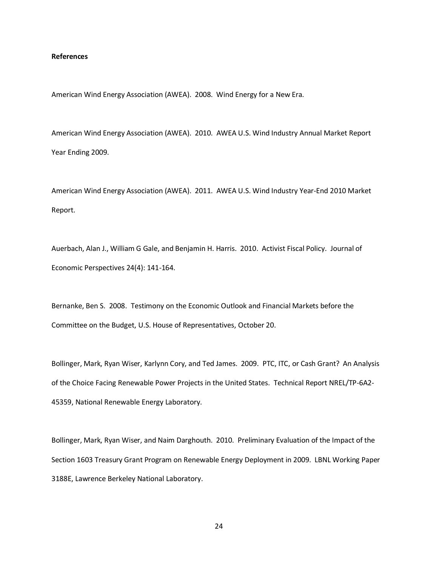#### **References**

American Wind Energy Association (AWEA). 2008. Wind Energy for a New Era.

American Wind Energy Association (AWEA). 2010. AWEA U.S. Wind Industry Annual Market Report Year Ending 2009.

American Wind Energy Association (AWEA). 2011. AWEA U.S. Wind Industry Year-End 2010 Market Report.

Auerbach, Alan J., William G Gale, and Benjamin H. Harris. 2010. Activist Fiscal Policy. Journal of Economic Perspectives 24(4): 141-164.

Bernanke, Ben S. 2008. Testimony on the Economic Outlook and Financial Markets before the Committee on the Budget, U.S. House of Representatives, October 20.

Bollinger, Mark, Ryan Wiser, Karlynn Cory, and Ted James. 2009. PTC, ITC, or Cash Grant? An Analysis of the Choice Facing Renewable Power Projects in the United States. Technical Report NREL/TP-6A2- 45359, National Renewable Energy Laboratory.

Bollinger, Mark, Ryan Wiser, and Naim Darghouth. 2010. Preliminary Evaluation of the Impact of the Section 1603 Treasury Grant Program on Renewable Energy Deployment in 2009. LBNL Working Paper 3188E, Lawrence Berkeley National Laboratory.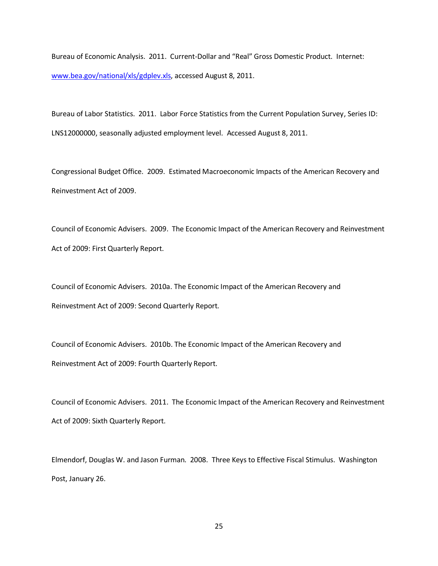Bureau of Economic Analysis. 2011. Current-Dollar and "Real" Gross Domestic Product. Internet: [www.bea.gov/national/xls/gdplev.xls,](http://www.bea.gov/national/xls/gdplev.xls) accessed August 8, 2011.

Bureau of Labor Statistics. 2011. Labor Force Statistics from the Current Population Survey, Series ID: LNS12000000, seasonally adjusted employment level. Accessed August 8, 2011.

Congressional Budget Office. 2009. Estimated Macroeconomic Impacts of the American Recovery and Reinvestment Act of 2009.

Council of Economic Advisers. 2009. The Economic Impact of the American Recovery and Reinvestment Act of 2009: First Quarterly Report.

Council of Economic Advisers. 2010a. The Economic Impact of the American Recovery and Reinvestment Act of 2009: Second Quarterly Report.

Council of Economic Advisers. 2010b. The Economic Impact of the American Recovery and Reinvestment Act of 2009: Fourth Quarterly Report.

Council of Economic Advisers. 2011. The Economic Impact of the American Recovery and Reinvestment Act of 2009: Sixth Quarterly Report.

Elmendorf, Douglas W. and Jason Furman. 2008. Three Keys to Effective Fiscal Stimulus. Washington Post, January 26.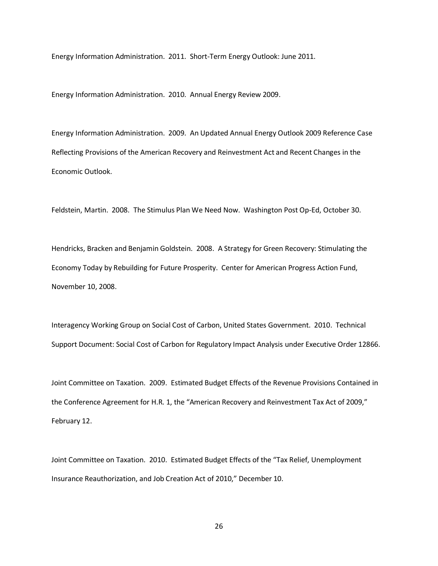Energy Information Administration. 2011. Short-Term Energy Outlook: June 2011.

Energy Information Administration. 2010. Annual Energy Review 2009.

Energy Information Administration. 2009. An Updated Annual Energy Outlook 2009 Reference Case Reflecting Provisions of the American Recovery and Reinvestment Act and Recent Changes in the Economic Outlook.

Feldstein, Martin. 2008. The Stimulus Plan We Need Now. Washington Post Op-Ed, October 30.

Hendricks, Bracken and Benjamin Goldstein. 2008. A Strategy for Green Recovery: Stimulating the Economy Today by Rebuilding for Future Prosperity. Center for American Progress Action Fund, November 10, 2008.

Interagency Working Group on Social Cost of Carbon, United States Government. 2010. Technical Support Document: Social Cost of Carbon for Regulatory Impact Analysis under Executive Order 12866.

Joint Committee on Taxation. 2009. Estimated Budget Effects of the Revenue Provisions Contained in the Conference Agreement for H.R. 1, the "American Recovery and Reinvestment Tax Act of 2009," February 12.

Joint Committee on Taxation. 2010. Estimated Budget Effects of the "Tax Relief, Unemployment Insurance Reauthorization, and Job Creation Act of 2010," December 10.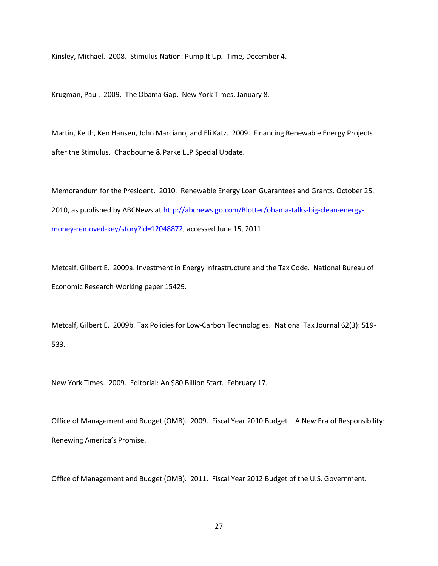Kinsley, Michael. 2008. Stimulus Nation: Pump It Up. Time, December 4.

Krugman, Paul. 2009. The Obama Gap. New York Times, January 8.

Martin, Keith, Ken Hansen, John Marciano, and Eli Katz. 2009. Financing Renewable Energy Projects after the Stimulus. Chadbourne & Parke LLP Special Update.

Memorandum for the President. 2010. Renewable Energy Loan Guarantees and Grants. October 25, 2010, as published by ABCNews at [http://abcnews.go.com/Blotter/obama-talks-big-clean-energy](http://abcnews.go.com/Blotter/obama-talks-big-clean-energy-money-removed-key/story?id=12048872)[money-removed-key/story?id=12048872,](http://abcnews.go.com/Blotter/obama-talks-big-clean-energy-money-removed-key/story?id=12048872) accessed June 15, 2011.

Metcalf, Gilbert E. 2009a. Investment in Energy Infrastructure and the Tax Code. National Bureau of Economic Research Working paper 15429.

Metcalf, Gilbert E. 2009b. Tax Policies for Low-Carbon Technologies. National Tax Journal 62(3): 519- 533.

New York Times. 2009. Editorial: An \$80 Billion Start. February 17.

Office of Management and Budget (OMB). 2009. Fiscal Year 2010 Budget – A New Era of Responsibility: Renewing America's Promise.

Office of Management and Budget (OMB). 2011. Fiscal Year 2012 Budget of the U.S. Government.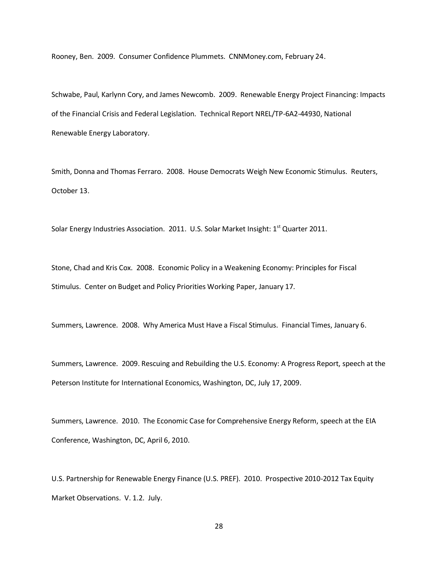Rooney, Ben. 2009. Consumer Confidence Plummets. CNNMoney.com, February 24.

Schwabe, Paul, Karlynn Cory, and James Newcomb. 2009. Renewable Energy Project Financing: Impacts of the Financial Crisis and Federal Legislation. Technical Report NREL/TP-6A2-44930, National Renewable Energy Laboratory.

Smith, Donna and Thomas Ferraro. 2008. House Democrats Weigh New Economic Stimulus. Reuters, October 13.

Solar Energy Industries Association. 2011. U.S. Solar Market Insight: 1<sup>st</sup> Quarter 2011.

Stone, Chad and Kris Cox. 2008. Economic Policy in a Weakening Economy: Principles for Fiscal Stimulus. Center on Budget and Policy Priorities Working Paper, January 17.

Summers, Lawrence. 2008. Why America Must Have a Fiscal Stimulus. Financial Times, January 6.

Summers, Lawrence. 2009. Rescuing and Rebuilding the U.S. Economy: A Progress Report, speech at the Peterson Institute for International Economics, Washington, DC, July 17, 2009.

Summers, Lawrence. 2010. The Economic Case for Comprehensive Energy Reform, speech at the EIA Conference, Washington, DC, April 6, 2010.

U.S. Partnership for Renewable Energy Finance (U.S. PREF). 2010. Prospective 2010-2012 Tax Equity Market Observations. V. 1.2. July.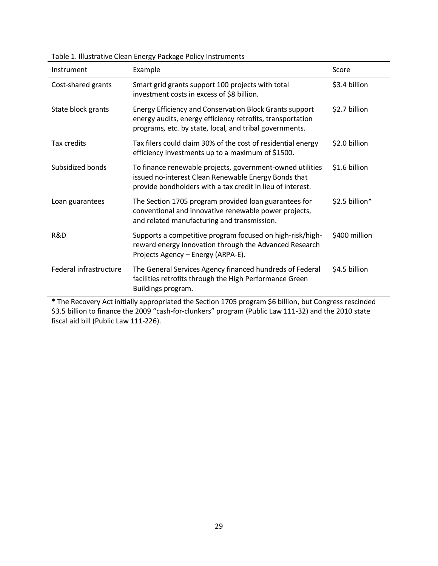| Instrument             | Example                                                                                                                                                                          | Score          |
|------------------------|----------------------------------------------------------------------------------------------------------------------------------------------------------------------------------|----------------|
| Cost-shared grants     | Smart grid grants support 100 projects with total<br>investment costs in excess of \$8 billion.                                                                                  | \$3.4 billion  |
| State block grants     | Energy Efficiency and Conservation Block Grants support<br>energy audits, energy efficiency retrofits, transportation<br>programs, etc. by state, local, and tribal governments. | \$2.7 billion  |
| Tax credits            | Tax filers could claim 30% of the cost of residential energy<br>efficiency investments up to a maximum of \$1500.                                                                | \$2.0 billion  |
| Subsidized bonds       | To finance renewable projects, government-owned utilities<br>issued no-interest Clean Renewable Energy Bonds that<br>provide bondholders with a tax credit in lieu of interest.  | \$1.6 billion  |
| Loan guarantees        | The Section 1705 program provided loan guarantees for<br>conventional and innovative renewable power projects,<br>and related manufacturing and transmission.                    | \$2.5 billion* |
| R&D                    | Supports a competitive program focused on high-risk/high-<br>reward energy innovation through the Advanced Research<br>Projects Agency - Energy (ARPA-E).                        | \$400 million  |
| Federal infrastructure | The General Services Agency financed hundreds of Federal<br>facilities retrofits through the High Performance Green<br>Buildings program.                                        | \$4.5 billion  |

\* The Recovery Act initially appropriated the Section 1705 program \$6 billion, but Congress rescinded \$3.5 billion to finance the 2009 "cash-for-clunkers" program (Public Law 111-32) and the 2010 state fiscal aid bill (Public Law 111-226).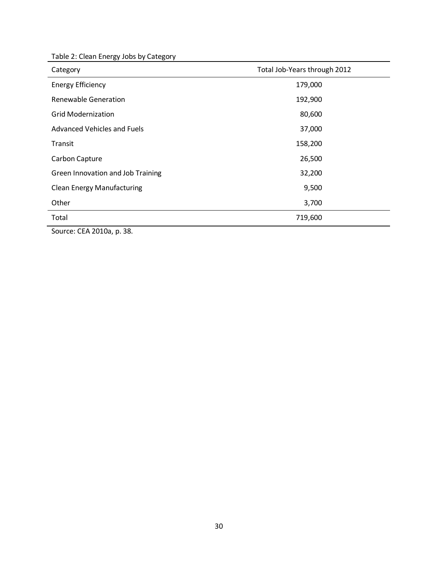| Table 2: Clean Energy Jobs by Category |  |  |
|----------------------------------------|--|--|
|----------------------------------------|--|--|

| Category                          | Total Job-Years through 2012 |
|-----------------------------------|------------------------------|
| <b>Energy Efficiency</b>          | 179,000                      |
| Renewable Generation              | 192,900                      |
| <b>Grid Modernization</b>         | 80,600                       |
| Advanced Vehicles and Fuels       | 37,000                       |
| Transit                           | 158,200                      |
| Carbon Capture                    | 26,500                       |
| Green Innovation and Job Training | 32,200                       |
| <b>Clean Energy Manufacturing</b> | 9,500                        |
| Other                             | 3,700                        |
| Total                             | 719,600                      |

Source: CEA 2010a, p. 38.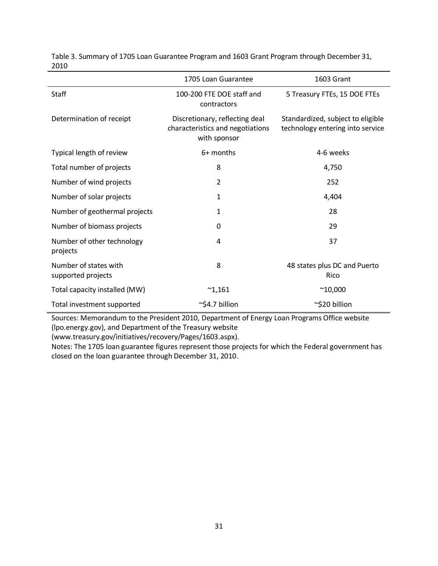|                                             | 1705 Loan Guarantee                                                                | 1603 Grant                                                            |
|---------------------------------------------|------------------------------------------------------------------------------------|-----------------------------------------------------------------------|
| <b>Staff</b>                                | 100-200 FTE DOE staff and<br>contractors                                           | 5 Treasury FTEs, 15 DOE FTEs                                          |
| Determination of receipt                    | Discretionary, reflecting deal<br>characteristics and negotiations<br>with sponsor | Standardized, subject to eligible<br>technology entering into service |
| Typical length of review                    | 6+ months                                                                          | 4-6 weeks                                                             |
| Total number of projects                    | 8                                                                                  | 4,750                                                                 |
| Number of wind projects                     | 2                                                                                  | 252                                                                   |
| Number of solar projects                    | $\mathbf{1}$                                                                       | 4,404                                                                 |
| Number of geothermal projects               | 1                                                                                  | 28                                                                    |
| Number of biomass projects                  | $\Omega$                                                                           | 29                                                                    |
| Number of other technology<br>projects      | 4                                                                                  | 37                                                                    |
| Number of states with<br>supported projects | 8                                                                                  | 48 states plus DC and Puerto<br>Rico                                  |
| Total capacity installed (MW)               | $^{\sim}1,161$                                                                     | $^{\sim}10,000$                                                       |
| Total investment supported                  | $\sim$ \$4.7 billion                                                               | ~\$20 billion                                                         |

Table 3. Summary of 1705 Loan Guarantee Program and 1603 Grant Program through December 31, 2010

Sources: Memorandum to the President 2010, Department of Energy Loan Programs Office website (lpo.energy.gov), and Department of the Treasury website

(www.treasury.gov/initiatives/recovery/Pages/1603.aspx).

Notes: The 1705 loan guarantee figures represent those projects for which the Federal government has closed on the loan guarantee through December 31, 2010.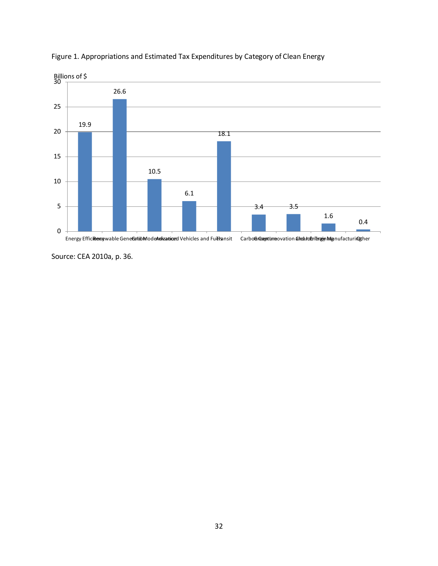

Figure 1. Appropriations and Estimated Tax Expenditures by Category of Clean Energy

Source: CEA 2010a, p. 36.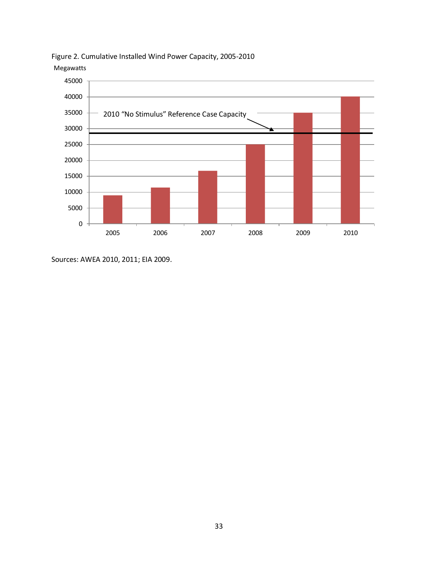

Figure 2. Cumulative Installed Wind Power Capacity, 2005-2010 Megawatts

Sources: AWEA 2010, 2011; EIA 2009.